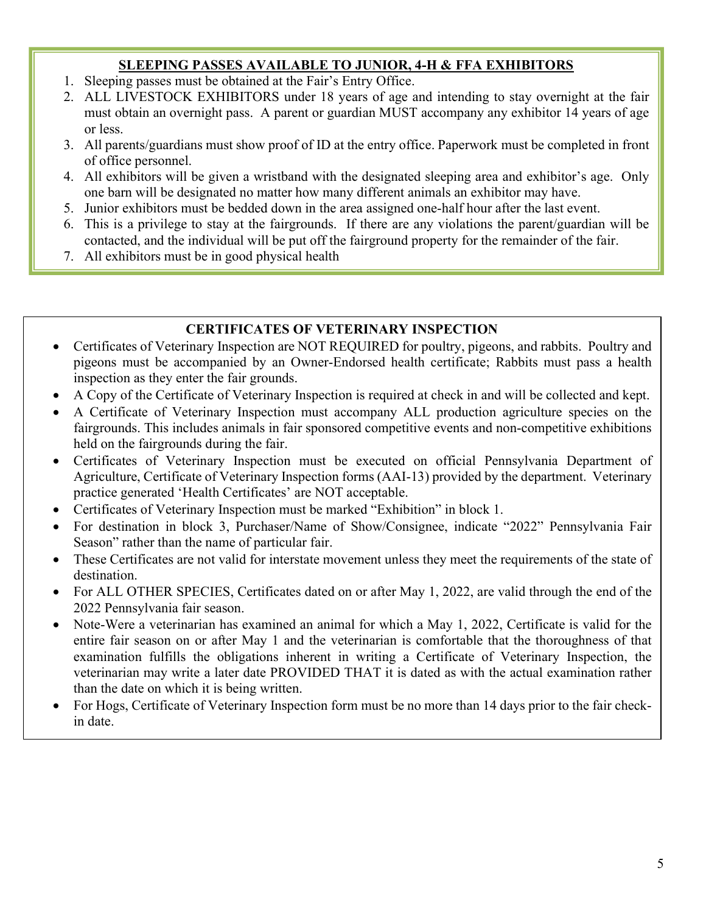#### SLEEPING PASSES AVAILABLE TO JUNIOR, 4-H & FFA EXHIBITORS

- 1. Sleeping passes must be obtained at the Fair's Entry Office.
- 2. ALL LIVESTOCK EXHIBITORS under 18 years of age and intending to stay overnight at the fair must obtain an overnight pass. A parent or guardian MUST accompany any exhibitor 14 years of age or less.
- 3. All parents/guardians must show proof of ID at the entry office. Paperwork must be completed in front of office personnel.
- 4. All exhibitors will be given a wristband with the designated sleeping area and exhibitor's age. Only one barn will be designated no matter how many different animals an exhibitor may have.
- 5. Junior exhibitors must be bedded down in the area assigned one-half hour after the last event.
- 6. This is a privilege to stay at the fairgrounds. If there are any violations the parent/guardian will be contacted, and the individual will be put off the fairground property for the remainder of the fair.
- 7. All exhibitors must be in good physical health

### CERTIFICATES OF VETERINARY INSPECTION

- Certificates of Veterinary Inspection are NOT REQUIRED for poultry, pigeons, and rabbits. Poultry and pigeons must be accompanied by an Owner-Endorsed health certificate; Rabbits must pass a health inspection as they enter the fair grounds.
- A Copy of the Certificate of Veterinary Inspection is required at check in and will be collected and kept.
- A Certificate of Veterinary Inspection must accompany ALL production agriculture species on the fairgrounds. This includes animals in fair sponsored competitive events and non-competitive exhibitions held on the fairgrounds during the fair.
- Certificates of Veterinary Inspection must be executed on official Pennsylvania Department of Agriculture, Certificate of Veterinary Inspection forms (AAI-13) provided by the department. Veterinary practice generated 'Health Certificates' are NOT acceptable.
- Certificates of Veterinary Inspection must be marked "Exhibition" in block 1.
- For destination in block 3, Purchaser/Name of Show/Consignee, indicate "2022" Pennsylvania Fair Season" rather than the name of particular fair.
- These Certificates are not valid for interstate movement unless they meet the requirements of the state of destination.
- For ALL OTHER SPECIES, Certificates dated on or after May 1, 2022, are valid through the end of the 2022 Pennsylvania fair season.
- Note-Were a veterinarian has examined an animal for which a May 1, 2022, Certificate is valid for the entire fair season on or after May 1 and the veterinarian is comfortable that the thoroughness of that examination fulfills the obligations inherent in writing a Certificate of Veterinary Inspection, the veterinarian may write a later date PROVIDED THAT it is dated as with the actual examination rather than the date on which it is being written.
- For Hogs, Certificate of Veterinary Inspection form must be no more than 14 days prior to the fair checkin date.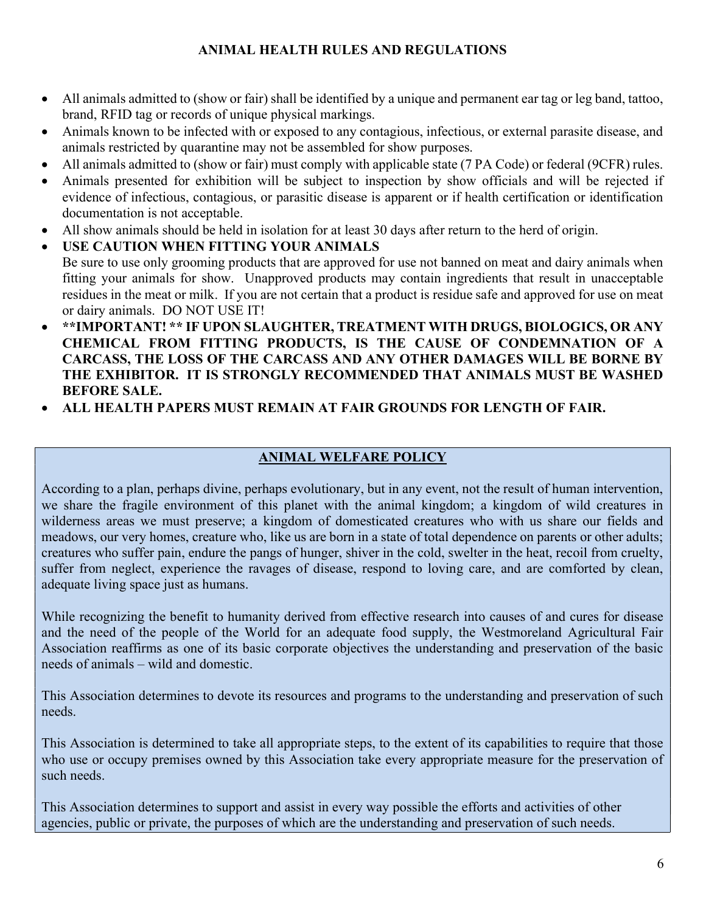### ANIMAL HEALTH RULES AND REGULATIONS

- All animals admitted to (show or fair) shall be identified by a unique and permanent ear tag or leg band, tattoo, brand, RFID tag or records of unique physical markings.
- Animals known to be infected with or exposed to any contagious, infectious, or external parasite disease, and animals restricted by quarantine may not be assembled for show purposes.
- All animals admitted to (show or fair) must comply with applicable state (7 PA Code) or federal (9CFR) rules.
- Animals presented for exhibition will be subject to inspection by show officials and will be rejected if evidence of infectious, contagious, or parasitic disease is apparent or if health certification or identification documentation is not acceptable.
- All show animals should be held in isolation for at least 30 days after return to the herd of origin.
- USE CAUTION WHEN FITTING YOUR ANIMALS Be sure to use only grooming products that are approved for use not banned on meat and dairy animals when fitting your animals for show. Unapproved products may contain ingredients that result in unacceptable residues in the meat or milk. If you are not certain that a product is residue safe and approved for use on meat or dairy animals. DO NOT USE IT!
- \*\*IMPORTANT! \*\* IF UPON SLAUGHTER, TREATMENT WITH DRUGS, BIOLOGICS, OR ANY CHEMICAL FROM FITTING PRODUCTS, IS THE CAUSE OF CONDEMNATION OF A CARCASS, THE LOSS OF THE CARCASS AND ANY OTHER DAMAGES WILL BE BORNE BY THE EXHIBITOR. IT IS STRONGLY RECOMMENDED THAT ANIMALS MUST BE WASHED BEFORE SALE.
- ALL HEALTH PAPERS MUST REMAIN AT FAIR GROUNDS FOR LENGTH OF FAIR.

### ANIMAL WELFARE POLICY

According to a plan, perhaps divine, perhaps evolutionary, but in any event, not the result of human intervention, we share the fragile environment of this planet with the animal kingdom; a kingdom of wild creatures in wilderness areas we must preserve; a kingdom of domesticated creatures who with us share our fields and meadows, our very homes, creature who, like us are born in a state of total dependence on parents or other adults; creatures who suffer pain, endure the pangs of hunger, shiver in the cold, swelter in the heat, recoil from cruelty, suffer from neglect, experience the ravages of disease, respond to loving care, and are comforted by clean, adequate living space just as humans.

While recognizing the benefit to humanity derived from effective research into causes of and cures for disease and the need of the people of the World for an adequate food supply, the Westmoreland Agricultural Fair Association reaffirms as one of its basic corporate objectives the understanding and preservation of the basic needs of animals – wild and domestic.

This Association determines to devote its resources and programs to the understanding and preservation of such needs.

This Association is determined to take all appropriate steps, to the extent of its capabilities to require that those who use or occupy premises owned by this Association take every appropriate measure for the preservation of such needs.

This Association determines to support and assist in every way possible the efforts and activities of other agencies, public or private, the purposes of which are the understanding and preservation of such needs.